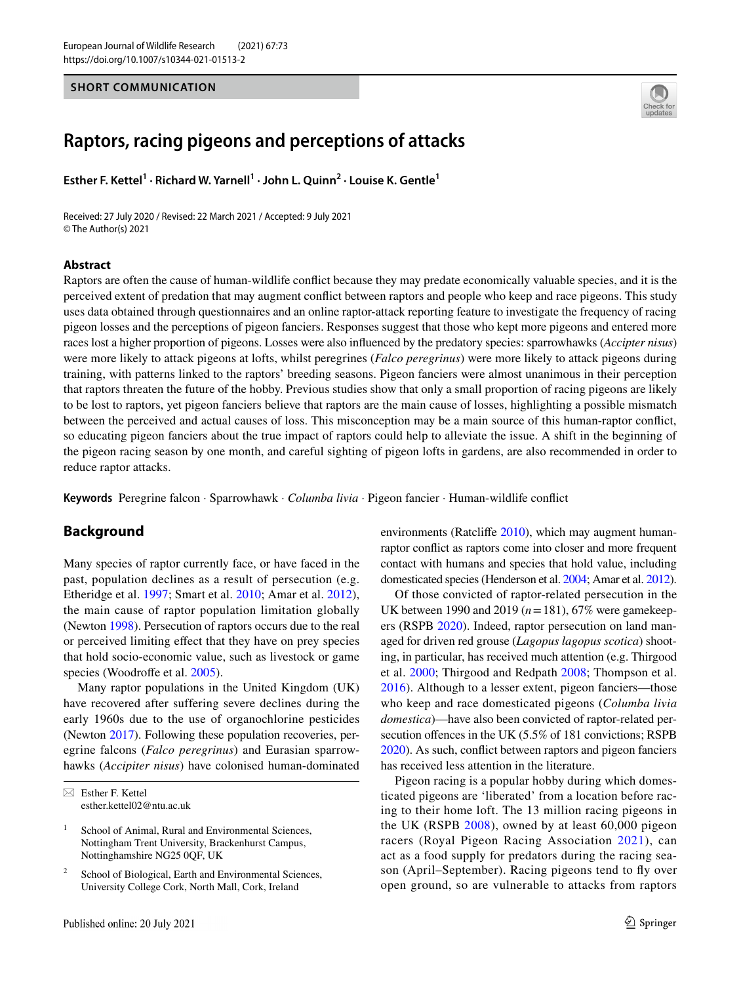## **SHORT COMMUNICATION**



# **Raptors, racing pigeons and perceptions of attacks**

Esther F. Kettel<sup>1</sup> · Richard W. Yarnell<sup>1</sup> · John L. Quinn<sup>2</sup> · Louise K. Gentle<sup>1</sup>

Received: 27 July 2020 / Revised: 22 March 2021 / Accepted: 9 July 2021 © The Author(s) 2021

### **Abstract**

Raptors are often the cause of human-wildlife confict because they may predate economically valuable species, and it is the perceived extent of predation that may augment confict between raptors and people who keep and race pigeons. This study uses data obtained through questionnaires and an online raptor-attack reporting feature to investigate the frequency of racing pigeon losses and the perceptions of pigeon fanciers. Responses suggest that those who kept more pigeons and entered more races lost a higher proportion of pigeons. Losses were also infuenced by the predatory species: sparrowhawks (*Accipter nisus*) were more likely to attack pigeons at lofts, whilst peregrines (*Falco peregrinus*) were more likely to attack pigeons during training, with patterns linked to the raptors' breeding seasons. Pigeon fanciers were almost unanimous in their perception that raptors threaten the future of the hobby. Previous studies show that only a small proportion of racing pigeons are likely to be lost to raptors, yet pigeon fanciers believe that raptors are the main cause of losses, highlighting a possible mismatch between the perceived and actual causes of loss. This misconception may be a main source of this human-raptor confict, so educating pigeon fanciers about the true impact of raptors could help to alleviate the issue. A shift in the beginning of the pigeon racing season by one month, and careful sighting of pigeon lofts in gardens, are also recommended in order to reduce raptor attacks.

**Keywords** Peregrine falcon · Sparrowhawk · *Columba livia* · Pigeon fancier · Human-wildlife confict

# **Background**

Many species of raptor currently face, or have faced in the past, population declines as a result of persecution (e.g. Etheridge et al. [1997](#page-5-0); Smart et al. [2010](#page-5-1); Amar et al. [2012](#page-5-2)), the main cause of raptor population limitation globally (Newton [1998\)](#page-5-3). Persecution of raptors occurs due to the real or perceived limiting efect that they have on prey species that hold socio-economic value, such as livestock or game species (Woodroffe et al. [2005\)](#page-5-4).

Many raptor populations in the United Kingdom (UK) have recovered after suffering severe declines during the early 1960s due to the use of organochlorine pesticides (Newton [2017\)](#page-5-5). Following these population recoveries, peregrine falcons (*Falco peregrinus*) and Eurasian sparrowhawks (*Accipiter nisus*) have colonised human-dominated environments (Ratcliffe [2010](#page-5-6)), which may augment humanraptor confict as raptors come into closer and more frequent contact with humans and species that hold value, including domesticated species (Henderson et al. [2004;](#page-5-7) Amar et al. [2012\)](#page-5-2).

Of those convicted of raptor-related persecution in the UK between 1990 and 2019 (*n*=181), 67% were gamekeepers (RSPB [2020\)](#page-5-8). Indeed, raptor persecution on land managed for driven red grouse (*Lagopus lagopus scotica*) shooting, in particular, has received much attention (e.g. Thirgood et al. [2000;](#page-5-9) Thirgood and Redpath [2008;](#page-5-10) Thompson et al. [2016](#page-5-11)). Although to a lesser extent, pigeon fanciers—those who keep and race domesticated pigeons (*Columba livia domestica*)—have also been convicted of raptor-related persecution offences in the UK  $(5.5\% \text{ of } 181 \text{ convictions};$  RSPB [2020](#page-5-8)). As such, confict between raptors and pigeon fanciers has received less attention in the literature.

Pigeon racing is a popular hobby during which domesticated pigeons are 'liberated' from a location before racing to their home loft. The 13 million racing pigeons in the UK (RSPB [2008\)](#page-5-12), owned by at least 60,000 pigeon racers (Royal Pigeon Racing Association [2021\)](#page-5-13), can act as a food supply for predators during the racing season (April–September). Racing pigeons tend to fy over open ground, so are vulnerable to attacks from raptors

 $\boxtimes$  Esther F. Kettel esther.kettel02@ntu.ac.uk

<sup>&</sup>lt;sup>1</sup> School of Animal, Rural and Environmental Sciences, Nottingham Trent University, Brackenhurst Campus, Nottinghamshire NG25 0QF, UK

<sup>&</sup>lt;sup>2</sup> School of Biological, Earth and Environmental Sciences, University College Cork, North Mall, Cork, Ireland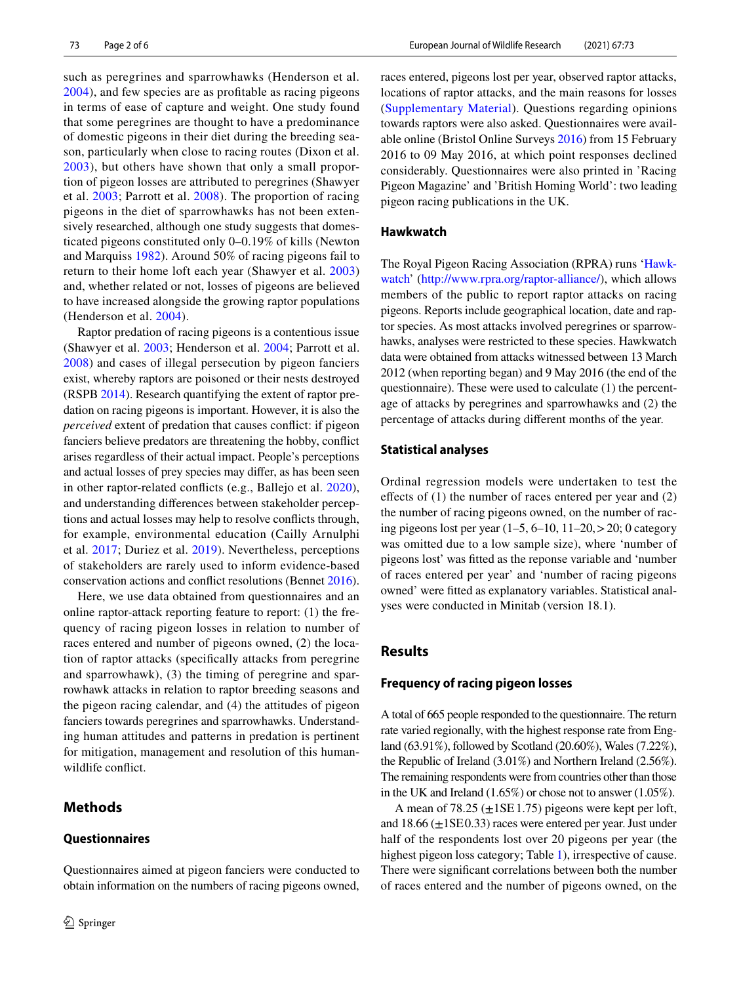such as peregrines and sparrowhawks (Henderson et al. [2004\)](#page-5-7), and few species are as proftable as racing pigeons in terms of ease of capture and weight. One study found that some peregrines are thought to have a predominance of domestic pigeons in their diet during the breeding season, particularly when close to racing routes (Dixon et al. [2003](#page-5-14)), but others have shown that only a small proportion of pigeon losses are attributed to peregrines (Shawyer et al. [2003](#page-5-15); Parrott et al. [2008\)](#page-5-16). The proportion of racing pigeons in the diet of sparrowhawks has not been extensively researched, although one study suggests that domesticated pigeons constituted only 0–0.19% of kills (Newton and Marquiss [1982](#page-5-17)). Around 50% of racing pigeons fail to return to their home loft each year (Shawyer et al. [2003\)](#page-5-15) and, whether related or not, losses of pigeons are believed to have increased alongside the growing raptor populations (Henderson et al. [2004](#page-5-7)).

Raptor predation of racing pigeons is a contentious issue (Shawyer et al. [2003](#page-5-15); Henderson et al. [2004](#page-5-7); Parrott et al. [2008\)](#page-5-16) and cases of illegal persecution by pigeon fanciers exist, whereby raptors are poisoned or their nests destroyed (RSPB [2014\)](#page-5-18). Research quantifying the extent of raptor predation on racing pigeons is important. However, it is also the *perceived* extent of predation that causes confict: if pigeon fanciers believe predators are threatening the hobby, confict arises regardless of their actual impact. People's perceptions and actual losses of prey species may difer, as has been seen in other raptor-related conficts (e.g., Ballejo et al. [2020](#page-5-19)), and understanding diferences between stakeholder perceptions and actual losses may help to resolve conficts through, for example, environmental education (Cailly Arnulphi et al. [2017;](#page-5-20) Duriez et al. [2019\)](#page-5-21). Nevertheless, perceptions of stakeholders are rarely used to inform evidence-based conservation actions and confict resolutions (Bennet [2016](#page-5-22)).

Here, we use data obtained from questionnaires and an online raptor-attack reporting feature to report: (1) the frequency of racing pigeon losses in relation to number of races entered and number of pigeons owned, (2) the location of raptor attacks (specifcally attacks from peregrine and sparrowhawk), (3) the timing of peregrine and sparrowhawk attacks in relation to raptor breeding seasons and the pigeon racing calendar, and (4) the attitudes of pigeon fanciers towards peregrines and sparrowhawks. Understanding human attitudes and patterns in predation is pertinent for mitigation, management and resolution of this humanwildlife confict.

Questionnaires aimed at pigeon fanciers were conducted to

# **Methods**

<sup>2</sup> Springer

#### **Questionnaires**

races entered, pigeons lost per year, observed raptor attacks, locations of raptor attacks, and the main reasons for losses (Supplementary Material). Questions regarding opinions towards raptors were also asked. Questionnaires were available online (Bristol Online Surveys [2016](#page-5-23)) from 15 February 2016 to 09 May 2016, at which point responses declined considerably. Questionnaires were also printed in 'Racing Pigeon Magazine' and 'British Homing World': two leading pigeon racing publications in the UK.

## <span id="page-1-0"></span>**Hawkwatch**

The Royal Pigeon Racing Association (RPRA) runs '[Hawk](#page-1-0)[watch](#page-1-0)' ([http://www.rpra.org/raptor-alliance/\)](http://www.rpra.org/raptor-alliance/), which allows members of the public to report raptor attacks on racing pigeons. Reports include geographical location, date and raptor species. As most attacks involved peregrines or sparrowhawks, analyses were restricted to these species. Hawkwatch data were obtained from attacks witnessed between 13 March 2012 (when reporting began) and 9 May 2016 (the end of the questionnaire). These were used to calculate (1) the percentage of attacks by peregrines and sparrowhawks and (2) the percentage of attacks during diferent months of the year.

## **Statistical analyses**

Ordinal regression models were undertaken to test the effects of  $(1)$  the number of races entered per year and  $(2)$ the number of racing pigeons owned, on the number of racing pigeons lost per year (1–5, 6–10, 11–20,>20; 0 category was omitted due to a low sample size), where 'number of pigeons lost' was ftted as the reponse variable and 'number of races entered per year' and 'number of racing pigeons owned' were ftted as explanatory variables. Statistical analyses were conducted in Minitab (version 18.1).

# **Results**

#### **Frequency of racing pigeon losses**

A total of 665 people responded to the questionnaire. The return rate varied regionally, with the highest response rate from England (63.91%), followed by Scotland (20.60%), Wales (7.22%), the Republic of Ireland (3.01%) and Northern Ireland (2.56%). The remaining respondents were from countries other than those in the UK and Ireland (1.65%) or chose not to answer (1.05%).

A mean of 78.25  $(\pm 1SE1.75)$  pigeons were kept per loft, and  $18.66 \ (\pm 1\text{SE}0.33)$  races were entered per year. Just under half of the respondents lost over 20 pigeons per year (the highest pigeon loss category; Table [1\)](#page-2-0), irrespective of cause. There were signifcant correlations between both the number of races entered and the number of pigeons owned, on the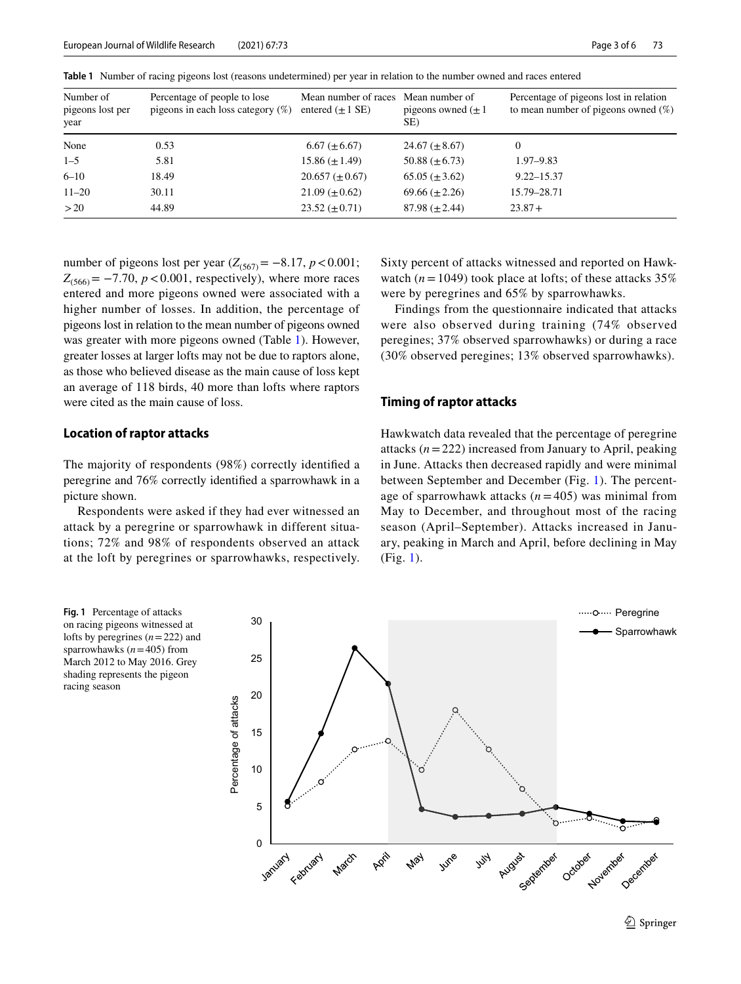| Number of<br>pigeons lost per<br>year | Percentage of people to lose<br>pigeons in each loss category $(\%)$ | Mean number of races Mean number of<br>entered $(\pm 1 \text{ SE})$ | pigeons owned $(\pm 1)$<br>SE) | Percentage of pigeons lost in relation<br>to mean number of pigeons owned $(\%)$ |
|---------------------------------------|----------------------------------------------------------------------|---------------------------------------------------------------------|--------------------------------|----------------------------------------------------------------------------------|
| None                                  | 0.53                                                                 | $6.67 \ (\pm 6.67)$                                                 | 24.67 $(\pm 8.67)$             | $\mathbf{0}$                                                                     |
| $1 - 5$                               | 5.81                                                                 | $15.86 \ (\pm 1.49)$                                                | 50.88 $(\pm 6.73)$             | $1.97 - 9.83$                                                                    |
| $6 - 10$                              | 18.49                                                                | $20.657 \ (\pm 0.67)$                                               | $65.05 (\pm 3.62)$             | $9.22 - 15.37$                                                                   |
| $11 - 20$                             | 30.11                                                                | $21.09 \ (\pm 0.62)$                                                | $69.66 \ (\pm 2.26)$           | 15.79-28.71                                                                      |
| >20                                   | 44.89                                                                | $23.52 \ (\pm 0.71)$                                                | $87.98 \ (\pm 2.44)$           | $23.87+$                                                                         |

<span id="page-2-0"></span>**Table 1** Number of racing pigeons lost (reasons undetermined) per year in relation to the number owned and races entered

number of pigeons lost per year  $(Z_{(567)} = −8.17, p < 0.001;$  $Z_{(566)} = -7.70$ ,  $p < 0.001$ , respectively), where more races entered and more pigeons owned were associated with a higher number of losses. In addition, the percentage of pigeons lost in relation to the mean number of pigeons owned was greater with more pigeons owned (Table [1](#page-2-0)). However, greater losses at larger lofts may not be due to raptors alone, as those who believed disease as the main cause of loss kept an average of 118 birds, 40 more than lofts where raptors were cited as the main cause of loss.

## **Location of raptor attacks**

The majority of respondents (98%) correctly identifed a peregrine and 76% correctly identifed a sparrowhawk in a picture shown.

Respondents were asked if they had ever witnessed an attack by a peregrine or sparrowhawk in different situations; 72% and 98% of respondents observed an attack at the loft by peregrines or sparrowhawks, respectively. Sixty percent of attacks witnessed and reported on Hawkwatch  $(n = 1049)$  took place at lofts; of these attacks 35% were by peregrines and 65% by sparrowhawks.

Findings from the questionnaire indicated that attacks were also observed during training (74% observed peregines; 37% observed sparrowhawks) or during a race (30% observed peregines; 13% observed sparrowhawks).

#### **Timing of raptor attacks**

Hawkwatch data revealed that the percentage of peregrine attacks (*n*=222) increased from January to April, peaking in June. Attacks then decreased rapidly and were minimal between September and December (Fig. [1](#page-2-1)). The percentage of sparrowhawk attacks  $(n = 405)$  was minimal from May to December, and throughout most of the racing season (April–September). Attacks increased in January, peaking in March and April, before declining in May (Fig. [1\)](#page-2-1).

<span id="page-2-1"></span>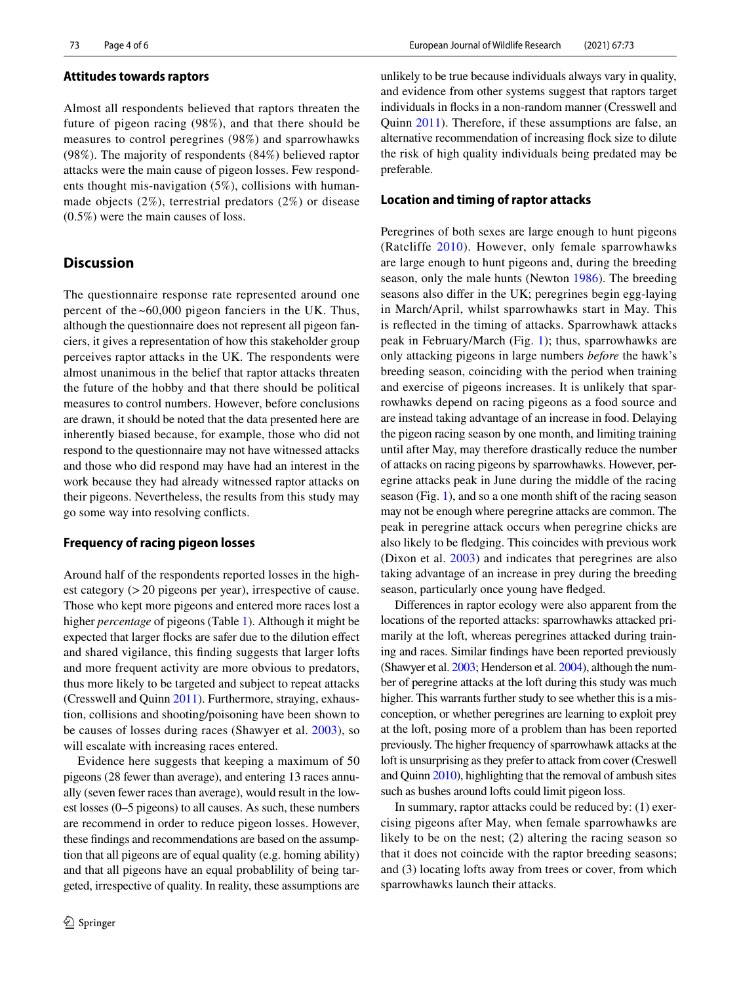#### **Attitudes towards raptors**

Almost all respondents believed that raptors threaten the future of pigeon racing (98%), and that there should be measures to control peregrines (98%) and sparrowhawks (98%). The majority of respondents (84%) believed raptor attacks were the main cause of pigeon losses. Few respondents thought mis-navigation (5%), collisions with humanmade objects (2%), terrestrial predators (2%) or disease (0.5%) were the main causes of loss.

## **Discussion**

The questionnaire response rate represented around one percent of the ~60,000 pigeon fanciers in the UK. Thus, although the questionnaire does not represent all pigeon fanciers, it gives a representation of how this stakeholder group perceives raptor attacks in the UK. The respondents were almost unanimous in the belief that raptor attacks threaten the future of the hobby and that there should be political measures to control numbers. However, before conclusions are drawn, it should be noted that the data presented here are inherently biased because, for example, those who did not respond to the questionnaire may not have witnessed attacks and those who did respond may have had an interest in the work because they had already witnessed raptor attacks on their pigeons. Nevertheless, the results from this study may go some way into resolving conficts.

### **Frequency of racing pigeon losses**

Around half of the respondents reported losses in the highest category (>20 pigeons per year), irrespective of cause. Those who kept more pigeons and entered more races lost a higher *percentage* of pigeons (Table [1](#page-2-0)). Although it might be expected that larger focks are safer due to the dilution efect and shared vigilance, this fnding suggests that larger lofts and more frequent activity are more obvious to predators, thus more likely to be targeted and subject to repeat attacks (Cresswell and Quinn [2011](#page-5-24)). Furthermore, straying, exhaustion, collisions and shooting/poisoning have been shown to be causes of losses during races (Shawyer et al. [2003](#page-5-15)), so will escalate with increasing races entered.

Evidence here suggests that keeping a maximum of 50 pigeons (28 fewer than average), and entering 13 races annually (seven fewer races than average), would result in the lowest losses (0–5 pigeons) to all causes. As such, these numbers are recommend in order to reduce pigeon losses. However, these fndings and recommendations are based on the assumption that all pigeons are of equal quality (e.g. homing ability) and that all pigeons have an equal probablility of being targeted, irrespective of quality. In reality, these assumptions are unlikely to be true because individuals always vary in quality, and evidence from other systems suggest that raptors target individuals in focks in a non-random manner (Cresswell and Quinn [2011\)](#page-5-24). Therefore, if these assumptions are false, an alternative recommendation of increasing fock size to dilute the risk of high quality individuals being predated may be preferable.

#### **Location and timing of raptor attacks**

Peregrines of both sexes are large enough to hunt pigeons (Ratcliffe [2010\)](#page-5-6). However, only female sparrowhawks are large enough to hunt pigeons and, during the breeding season, only the male hunts (Newton [1986](#page-5-25)). The breeding seasons also difer in the UK; peregrines begin egg-laying in March/April, whilst sparrowhawks start in May. This is refected in the timing of attacks. Sparrowhawk attacks peak in February/March (Fig. [1\)](#page-2-1); thus, sparrowhawks are only attacking pigeons in large numbers *before* the hawk's breeding season, coinciding with the period when training and exercise of pigeons increases. It is unlikely that sparrowhawks depend on racing pigeons as a food source and are instead taking advantage of an increase in food. Delaying the pigeon racing season by one month, and limiting training until after May, may therefore drastically reduce the number of attacks on racing pigeons by sparrowhawks. However, peregrine attacks peak in June during the middle of the racing season (Fig. [1\)](#page-2-1), and so a one month shift of the racing season may not be enough where peregrine attacks are common. The peak in peregrine attack occurs when peregrine chicks are also likely to be fedging. This coincides with previous work (Dixon et al. [2003](#page-5-14)) and indicates that peregrines are also taking advantage of an increase in prey during the breeding season, particularly once young have fedged.

Diferences in raptor ecology were also apparent from the locations of the reported attacks: sparrowhawks attacked primarily at the loft, whereas peregrines attacked during training and races. Similar fndings have been reported previously (Shawyer et al. [2003](#page-5-15); Henderson et al. [2004](#page-5-7)), although the number of peregrine attacks at the loft during this study was much higher. This warrants further study to see whether this is a misconception, or whether peregrines are learning to exploit prey at the loft, posing more of a problem than has been reported previously. The higher frequency of sparrowhawk attacks at the loft is unsurprising as they prefer to attack from cover (Creswell and Quinn [2010](#page-5-26)), highlighting that the removal of ambush sites such as bushes around lofts could limit pigeon loss.

In summary, raptor attacks could be reduced by: (1) exercising pigeons after May, when female sparrowhawks are likely to be on the nest; (2) altering the racing season so that it does not coincide with the raptor breeding seasons; and (3) locating lofts away from trees or cover, from which sparrowhawks launch their attacks.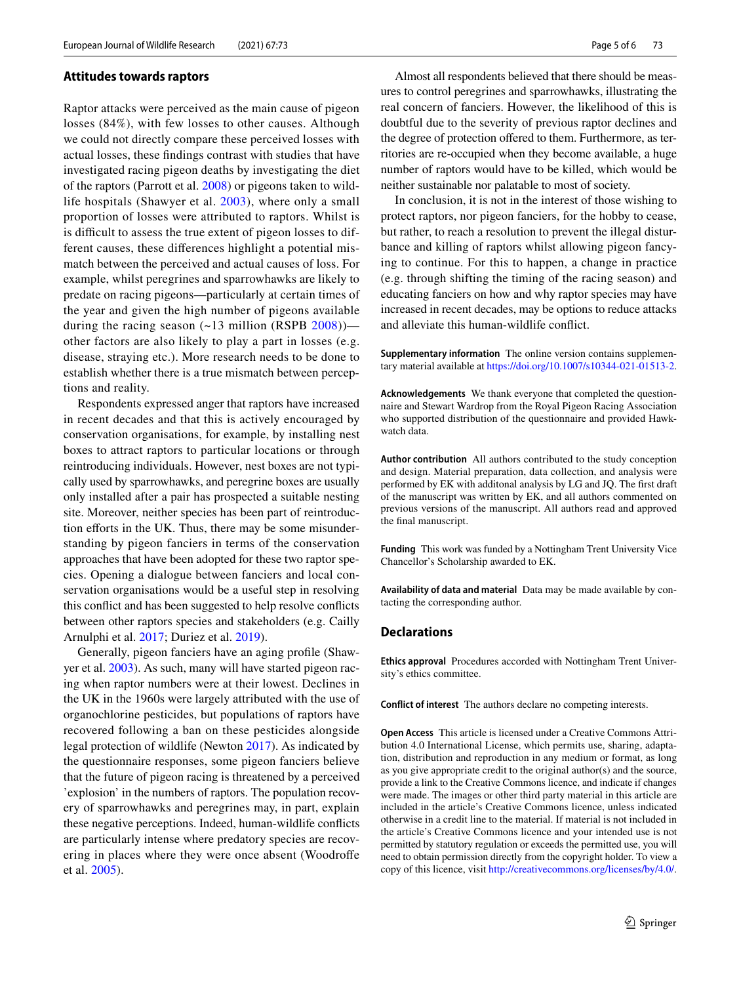#### **Attitudes towards raptors**

Raptor attacks were perceived as the main cause of pigeon losses (84%), with few losses to other causes. Although we could not directly compare these perceived losses with actual losses, these fndings contrast with studies that have investigated racing pigeon deaths by investigating the diet of the raptors (Parrott et al. [2008\)](#page-5-16) or pigeons taken to wildlife hospitals (Shawyer et al. [2003](#page-5-15)), where only a small proportion of losses were attributed to raptors. Whilst is is difficult to assess the true extent of pigeon losses to different causes, these diferences highlight a potential mismatch between the perceived and actual causes of loss. For example, whilst peregrines and sparrowhawks are likely to predate on racing pigeons—particularly at certain times of the year and given the high number of pigeons available during the racing season  $(-13 \text{ million (RSPB } 2008))$  $(-13 \text{ million (RSPB } 2008))$  $(-13 \text{ million (RSPB } 2008))$  other factors are also likely to play a part in losses (e.g. disease, straying etc.). More research needs to be done to establish whether there is a true mismatch between perceptions and reality.

Respondents expressed anger that raptors have increased in recent decades and that this is actively encouraged by conservation organisations, for example, by installing nest boxes to attract raptors to particular locations or through reintroducing individuals. However, nest boxes are not typically used by sparrowhawks, and peregrine boxes are usually only installed after a pair has prospected a suitable nesting site. Moreover, neither species has been part of reintroduction efforts in the UK. Thus, there may be some misunderstanding by pigeon fanciers in terms of the conservation approaches that have been adopted for these two raptor species. Opening a dialogue between fanciers and local conservation organisations would be a useful step in resolving this confict and has been suggested to help resolve conficts between other raptors species and stakeholders (e.g. Cailly Arnulphi et al. [2017](#page-5-20); Duriez et al. [2019](#page-5-21)).

Generally, pigeon fanciers have an aging profle (Shawyer et al. [2003](#page-5-15)). As such, many will have started pigeon racing when raptor numbers were at their lowest. Declines in the UK in the 1960s were largely attributed with the use of organochlorine pesticides, but populations of raptors have recovered following a ban on these pesticides alongside legal protection of wildlife (Newton [2017](#page-5-5)). As indicated by the questionnaire responses, some pigeon fanciers believe that the future of pigeon racing is threatened by a perceived 'explosion' in the numbers of raptors. The population recovery of sparrowhawks and peregrines may, in part, explain these negative perceptions. Indeed, human-wildlife conficts are particularly intense where predatory species are recovering in places where they were once absent (Woodroffe et al. [2005\)](#page-5-4).

Almost all respondents believed that there should be measures to control peregrines and sparrowhawks, illustrating the real concern of fanciers. However, the likelihood of this is doubtful due to the severity of previous raptor declines and the degree of protection offered to them. Furthermore, as territories are re-occupied when they become available, a huge number of raptors would have to be killed, which would be neither sustainable nor palatable to most of society.

In conclusion, it is not in the interest of those wishing to protect raptors, nor pigeon fanciers, for the hobby to cease, but rather, to reach a resolution to prevent the illegal disturbance and killing of raptors whilst allowing pigeon fancying to continue. For this to happen, a change in practice (e.g. through shifting the timing of the racing season) and educating fanciers on how and why raptor species may have increased in recent decades, may be options to reduce attacks and alleviate this human-wildlife confict.

**Supplementary information** The online version contains supplementary material available at<https://doi.org/10.1007/s10344-021-01513-2>.

**Acknowledgements** We thank everyone that completed the questionnaire and Stewart Wardrop from the Royal Pigeon Racing Association who supported distribution of the questionnaire and provided Hawkwatch data.

**Author contribution** All authors contributed to the study conception and design. Material preparation, data collection, and analysis were performed by EK with additonal analysis by LG and JQ. The frst draft of the manuscript was written by EK, and all authors commented on previous versions of the manuscript. All authors read and approved the fnal manuscript.

**Funding** This work was funded by a Nottingham Trent University Vice Chancellor's Scholarship awarded to EK.

**Availability of data and material** Data may be made available by contacting the corresponding author.

#### **Declarations**

**Ethics approval** Procedures accorded with Nottingham Trent University's ethics committee.

**Conflict of interest** The authors declare no competing interests.

**Open Access** This article is licensed under a Creative Commons Attribution 4.0 International License, which permits use, sharing, adaptation, distribution and reproduction in any medium or format, as long as you give appropriate credit to the original author(s) and the source, provide a link to the Creative Commons licence, and indicate if changes were made. The images or other third party material in this article are included in the article's Creative Commons licence, unless indicated otherwise in a credit line to the material. If material is not included in the article's Creative Commons licence and your intended use is not permitted by statutory regulation or exceeds the permitted use, you will need to obtain permission directly from the copyright holder. To view a copy of this licence, visit<http://creativecommons.org/licenses/by/4.0/>.